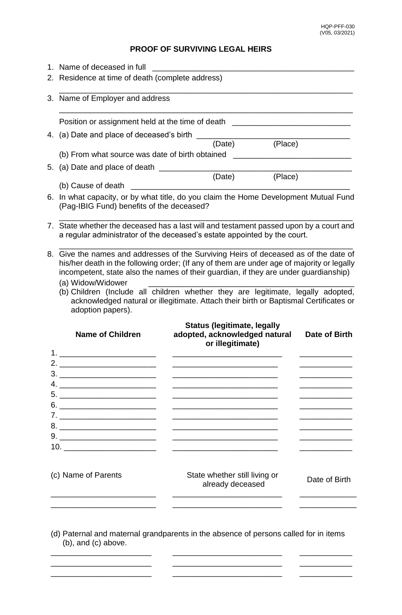## **PROOF OF SURVIVING LEGAL HEIRS**

|          | 1. Name of deceased in full<br>2. Residence at time of death (complete address)                                                                                    |                                                                                                                                                                                                                                                                                                                                                              |               |  |  |
|----------|--------------------------------------------------------------------------------------------------------------------------------------------------------------------|--------------------------------------------------------------------------------------------------------------------------------------------------------------------------------------------------------------------------------------------------------------------------------------------------------------------------------------------------------------|---------------|--|--|
|          | 3. Name of Employer and address                                                                                                                                    |                                                                                                                                                                                                                                                                                                                                                              |               |  |  |
|          |                                                                                                                                                                    | Position or assignment held at the time of death _______________________________                                                                                                                                                                                                                                                                             |               |  |  |
|          | 4. (a) Date and place of deceased's birth _______                                                                                                                  |                                                                                                                                                                                                                                                                                                                                                              |               |  |  |
|          |                                                                                                                                                                    | (Date) (Place)<br>(b) From what source was date of birth obtained                                                                                                                                                                                                                                                                                            |               |  |  |
|          |                                                                                                                                                                    |                                                                                                                                                                                                                                                                                                                                                              |               |  |  |
|          |                                                                                                                                                                    | (Date)<br>(Place)                                                                                                                                                                                                                                                                                                                                            |               |  |  |
|          | (b) Cause of death                                                                                                                                                 | <u> 2000 - Jan James James James James James James James James James James James James James James James James J</u>                                                                                                                                                                                                                                         |               |  |  |
|          | (Pag-IBIG Fund) benefits of the deceased?                                                                                                                          | 6. In what capacity, or by what title, do you claim the Home Development Mutual Fund                                                                                                                                                                                                                                                                         |               |  |  |
|          | 7. State whether the deceased has a last will and testament passed upon by a court and<br>a regular administrator of the deceased's estate appointed by the court. |                                                                                                                                                                                                                                                                                                                                                              |               |  |  |
|          | (a) Widow/Widower<br>adoption papers).<br><b>Name of Children</b>                                                                                                  | incompetent, state also the names of their guardian, if they are under guardianship)<br>(b) Children (Include all children whether they are legitimate, legally adopted,<br>acknowledged natural or illegitimate. Attach their birth or Baptismal Certificates or<br><b>Status (legitimate, legally</b><br>adopted, acknowledged natural<br>or illegitimate) | Date of Birth |  |  |
|          | the control of the control of the control of the control of the control of the control of                                                                          |                                                                                                                                                                                                                                                                                                                                                              |               |  |  |
|          |                                                                                                                                                                    |                                                                                                                                                                                                                                                                                                                                                              |               |  |  |
|          |                                                                                                                                                                    |                                                                                                                                                                                                                                                                                                                                                              |               |  |  |
| 5.<br>6. |                                                                                                                                                                    |                                                                                                                                                                                                                                                                                                                                                              |               |  |  |
|          | 7. __________________________                                                                                                                                      |                                                                                                                                                                                                                                                                                                                                                              |               |  |  |
|          |                                                                                                                                                                    |                                                                                                                                                                                                                                                                                                                                                              |               |  |  |
|          |                                                                                                                                                                    |                                                                                                                                                                                                                                                                                                                                                              |               |  |  |
|          |                                                                                                                                                                    |                                                                                                                                                                                                                                                                                                                                                              |               |  |  |
|          | (c) Name of Parents                                                                                                                                                | State whether still living or<br>already deceased                                                                                                                                                                                                                                                                                                            | Date of Birth |  |  |
|          |                                                                                                                                                                    |                                                                                                                                                                                                                                                                                                                                                              |               |  |  |

(d) Paternal and maternal grandparents in the absence of persons called for in items (b), and (c) above.

\_\_\_\_\_\_\_\_\_\_\_\_\_\_\_\_\_\_\_\_\_\_\_ \_\_\_\_\_\_\_\_\_\_\_\_\_\_\_\_\_\_\_\_\_\_\_\_\_ \_\_\_\_\_\_\_\_\_\_\_\_

\_\_\_\_\_\_\_\_\_\_\_\_\_\_\_\_\_\_\_\_\_\_\_ \_\_\_\_\_\_\_\_\_\_\_\_\_\_\_\_\_\_\_\_\_\_\_\_\_ \_\_\_\_\_\_\_\_\_\_\_\_

\_\_\_\_\_\_\_\_\_\_\_\_\_\_\_\_\_\_\_\_\_\_\_ \_\_\_\_\_\_\_\_\_\_\_\_\_\_\_\_\_\_\_\_\_\_\_\_\_ \_\_\_\_\_\_\_\_\_\_\_\_